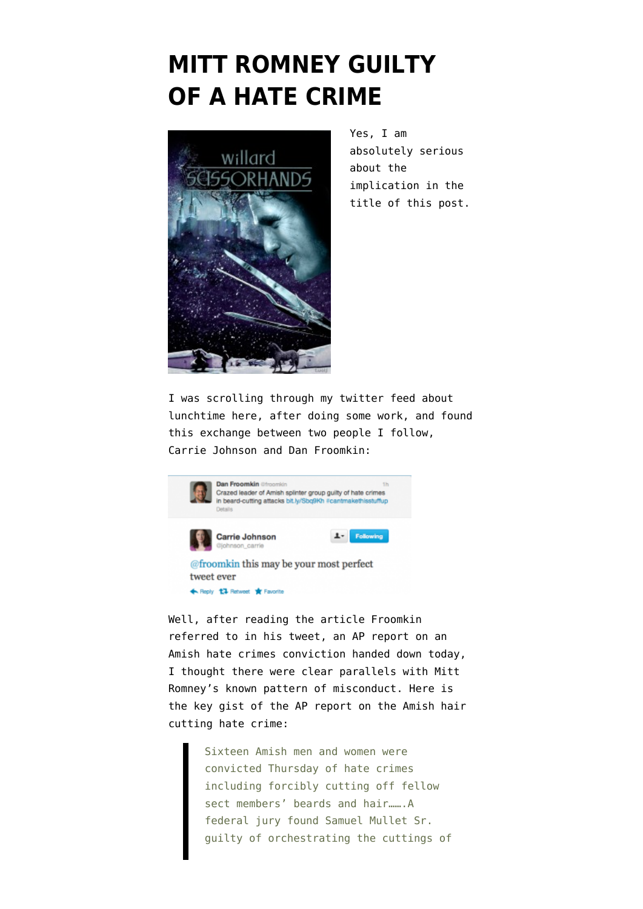## **[MITT ROMNEY GUILTY](https://www.emptywheel.net/2012/09/20/mitt-romney-guilty-of-a-hate-crime/) [OF A HATE CRIME](https://www.emptywheel.net/2012/09/20/mitt-romney-guilty-of-a-hate-crime/)**



Yes, I am absolutely serious about the implication in the title of this post.

I was scrolling through my twitter feed about lunchtime here, after doing some work, and found this exchange between two people I follow, [Carrie Johnson and Dan Froomkin:](https://twitter.com/johnson_carrie/status/248854927231832064)



Well, after reading the article Froomkin referred to in his tweet, an AP report on an Amish hate crimes conviction handed down today, I thought there were clear parallels with Mitt Romney's known pattern of misconduct. Here is the key gist of th[e AP report on the Amish hair](http://www.usnews.com/news/us/articles/2012/09/20/leader-guilty-of-hate-crimes-in-ohio-amish-attacks) [cutting hate crime:](http://www.usnews.com/news/us/articles/2012/09/20/leader-guilty-of-hate-crimes-in-ohio-amish-attacks)

> Sixteen Amish men and women were convicted Thursday of hate crimes including forcibly cutting off fellow sect members' beards and hair.......A federal jury found Samuel Mullet Sr. guilty of orchestrating the cuttings of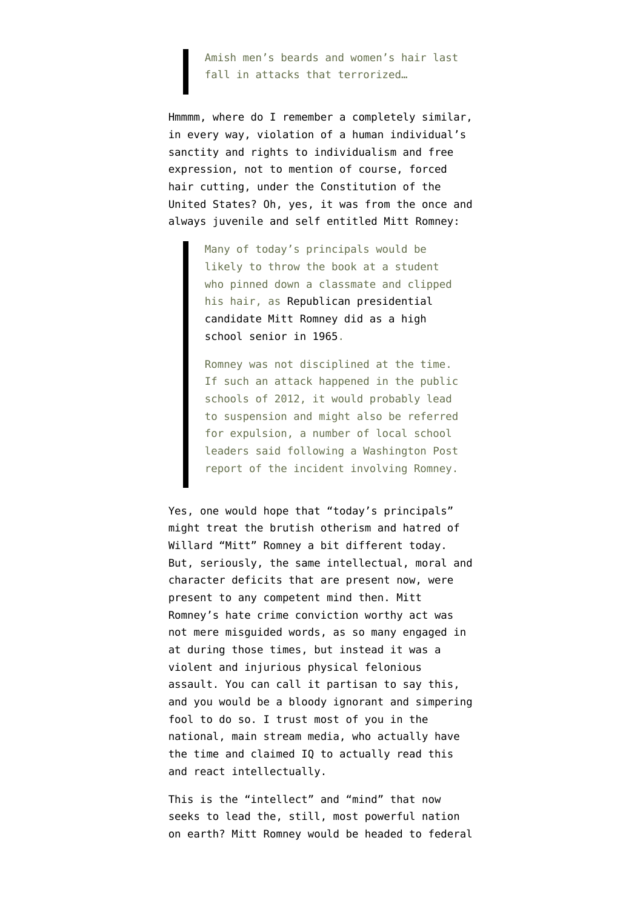Amish men's beards and women's hair last fall in attacks that terrorized…

Hmmmm, where do I remember a completely similar, in every way, violation of a human individual's sanctity and rights to individualism and free expression, not to mention of course, forced hair cutting, under the Constitution of the United States? Oh, yes, it was from the once and [always juvenile and self entitled Mitt Romney](http://www.washingtonpost.com/local/education/romney-incident-would-likely-mean-more-punishment-today/2012/05/11/gIQAmvuJIU_story.html):

> Many of today's principals would be likely to throw the book at a student who pinned down a classmate and clipped his hair, as [Republican presidential](http://www.washingtonpost.com/politics/mitt-romneys-prep-school-classmates-recall-pranks-but-also-troubling-incidents/2012/05/10/gIQA3WOKFU_story.html) [candidate Mitt Romney did as a high](http://www.washingtonpost.com/politics/mitt-romneys-prep-school-classmates-recall-pranks-but-also-troubling-incidents/2012/05/10/gIQA3WOKFU_story.html) [school senior in 1965.](http://www.washingtonpost.com/politics/mitt-romneys-prep-school-classmates-recall-pranks-but-also-troubling-incidents/2012/05/10/gIQA3WOKFU_story.html)

Romney was not disciplined at the time. If such an attack happened in the public schools of 2012, it would probably lead to suspension and might also be referred for expulsion, a number of local school leaders said following a Washington Post report of the incident involving Romney.

Yes, one would hope that "today's principals" might treat the brutish otherism and hatred of Willard "Mitt" Romney a bit different today. But, seriously, the same intellectual, moral and character deficits that are present now, were present to any competent mind then. Mitt Romney's hate crime conviction worthy act was not mere misguided words, as so many engaged in at during those times, but instead it was a violent and injurious physical felonious assault. You can call it partisan to say this, and you would be a bloody ignorant and simpering fool to do so. I trust most of you in the national, main stream media, who actually have the time and claimed IQ to actually read this and react intellectually.

This is the "intellect" and "mind" that now seeks to lead the, still, most powerful nation on earth? Mitt Romney would be headed to federal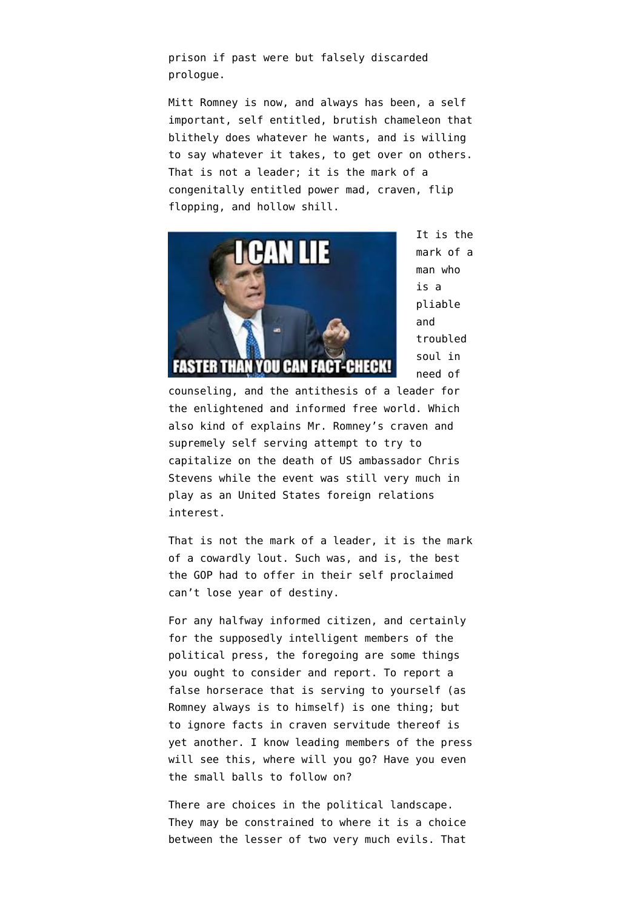prison if past were but falsely discarded prologue.

Mitt Romney is now, and always has been, a self important, self entitled, brutish chameleon that blithely does whatever he wants, and is willing to say whatever it takes, to get over on others. That is not a leader; it is the mark of a congenitally entitled power mad, craven, flip flopping, and hollow shill.



It is the mark of a man who is a pliable and troubled soul in need of

counseling, and the antithesis of a leader for the enlightened and informed free world. Which also kind of explains Mr. Romney's craven and supremely self serving attempt to [try to](http://politicalticker.blogs.cnn.com/2012/09/12/romneys-political-pretzel-over-libya/comment-page-41/) [capitalize on the death of US ambassador Chris](http://politicalticker.blogs.cnn.com/2012/09/12/romneys-political-pretzel-over-libya/comment-page-41/) [Stevens](http://politicalticker.blogs.cnn.com/2012/09/12/romneys-political-pretzel-over-libya/comment-page-41/) while the event was still very much in play as an United States foreign relations interest.

That is not the mark of a leader, it is the mark of a cowardly lout. Such was, and is, the best the GOP had to offer in their self proclaimed [can't lose year of destiny.](http://blogs.wsj.com/peggynoonan/2012/09/18/time-for-an-intervention/)

For any halfway informed citizen, and certainly for the supposedly intelligent members of the political press, the foregoing are some things you ought to consider and report. To report a false horserace that is serving to yourself (as Romney always is to himself) is one thing; but to ignore facts in craven servitude thereof is yet another. I know leading members of the press will see this, where will you go? Have you even the small balls to follow on?

There are choices in the political landscape. They may be constrained to where it is a choice between the lesser of two very much evils. That